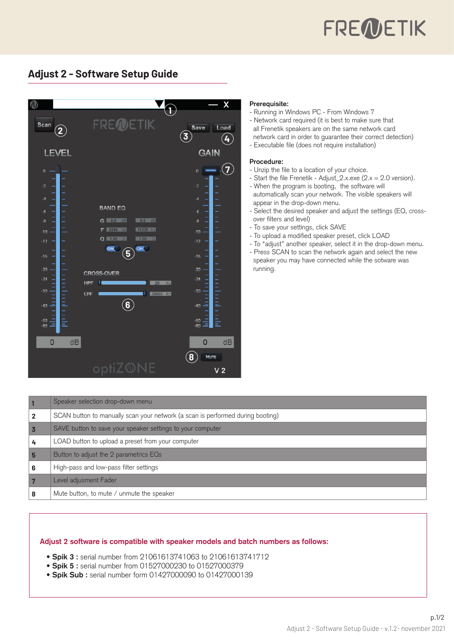# **Adjust 2 - Software Setup Guide**



## **Prerequisite:**

- Running in Windows PC From Windows 7
- Network card required (it is best to make sure that all Frenetik speakers are on the same network card network card in order to guarantee their correct detection)
- Executable file (does not require installation)

#### **Procedure:**

- Unzip the file to a location of your choice.
- Start the file Frenetik Adjust\_2.x.exe (2.x = 2.0 version).
- When the program is booting, the software will automatically scan your network. The visible speakers will appear in the drop-down menu.
- Select the desired speaker and adjust the settings (EQ, cross over filters and level)
- To save your settings, click SAVE
- To upload a modified speaker preset, click LOAD
- To ''adjust'' another speaker, select it in the drop-down menu.
- Press SCAN to scan the network again and select the new speaker you may have connected while the sotware was running.

|                | Speaker selection drop-down menu                                               |
|----------------|--------------------------------------------------------------------------------|
| $\mathbf{2}$   | SCAN button to manually scan your network (a scan is performed during booting) |
| $\overline{3}$ | SAVE button to save your speaker settings to your computer                     |
| 4              | LOAD button to upload a preset from your computer                              |
| 5              | Button to adjust the 2 parametrics EQs                                         |
| 6              | High-pass and low-pass filter settings                                         |
| 7              | Level adjusment Fader                                                          |
| 8              | Mute button, to mute / unmute the speaker                                      |

## **Adjust 2 software is compatible with speaker models and batch numbers as follows:**

- **Spik 3 :** serial number from 21061613741063 to 21061613741712
- **Spik 5 :** serial number from 01527000230 to 01527000379
- **Spik Sub :** serial number form 01427000090 to 01427000139